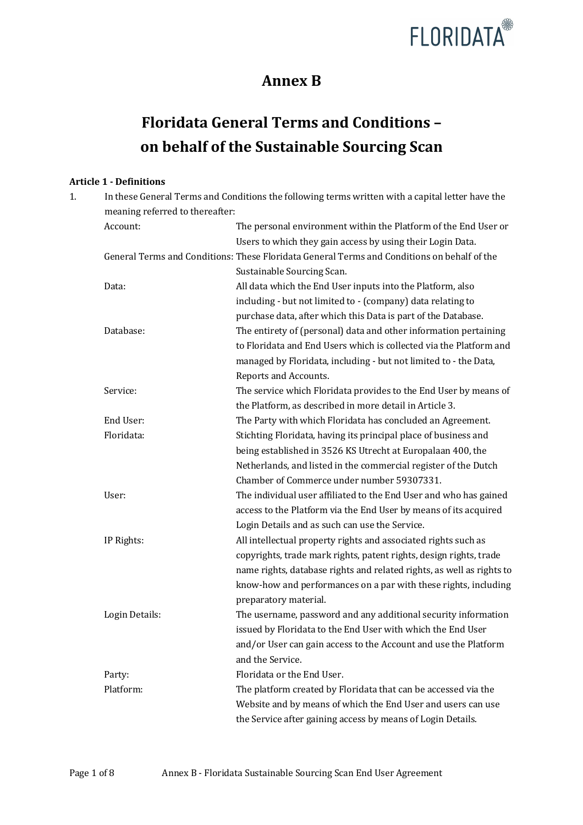

# **Annex B**

# **Floridata General Terms and Conditions on behalf of the Sustainable Sourcing Scan**

# **Article 1 - Definitions**

| 1. |                                 | In these General Terms and Conditions the following terms written with a capital letter have the |
|----|---------------------------------|--------------------------------------------------------------------------------------------------|
|    | meaning referred to thereafter: |                                                                                                  |
|    | Account:                        | The personal environment within the Platform of the End User or                                  |
|    |                                 | Users to which they gain access by using their Login Data.                                       |
|    |                                 | General Terms and Conditions: These Floridata General Terms and Conditions on behalf of the      |
|    |                                 | Sustainable Sourcing Scan.                                                                       |
|    | Data:                           | All data which the End User inputs into the Platform, also                                       |
|    |                                 | including - but not limited to - (company) data relating to                                      |
|    |                                 | purchase data, after which this Data is part of the Database.                                    |
|    | Database:                       | The entirety of (personal) data and other information pertaining                                 |
|    |                                 | to Floridata and End Users which is collected via the Platform and                               |
|    |                                 | managed by Floridata, including - but not limited to - the Data,                                 |
|    |                                 | Reports and Accounts.                                                                            |
|    | Service:                        | The service which Floridata provides to the End User by means of                                 |
|    |                                 | the Platform, as described in more detail in Article 3.                                          |
|    | End User:                       | The Party with which Floridata has concluded an Agreement.                                       |
|    | Floridata:                      | Stichting Floridata, having its principal place of business and                                  |
|    |                                 | being established in 3526 KS Utrecht at Europalaan 400, the                                      |
|    |                                 | Netherlands, and listed in the commercial register of the Dutch                                  |
|    |                                 | Chamber of Commerce under number 59307331.                                                       |
|    | User:                           | The individual user affiliated to the End User and who has gained                                |
|    |                                 | access to the Platform via the End User by means of its acquired                                 |
|    |                                 | Login Details and as such can use the Service.                                                   |
|    | IP Rights:                      | All intellectual property rights and associated rights such as                                   |
|    |                                 | copyrights, trade mark rights, patent rights, design rights, trade                               |
|    |                                 | name rights, database rights and related rights, as well as rights to                            |
|    |                                 | know-how and performances on a par with these rights, including                                  |
|    |                                 | preparatory material.                                                                            |
|    | Login Details:                  | The username, password and any additional security information                                   |
|    |                                 | issued by Floridata to the End User with which the End User                                      |
|    |                                 | and/or User can gain access to the Account and use the Platform                                  |
|    |                                 | and the Service.                                                                                 |
|    | Party:                          | Floridata or the End User.                                                                       |
|    | Platform:                       | The platform created by Floridata that can be accessed via the                                   |
|    |                                 | Website and by means of which the End User and users can use                                     |
|    |                                 | the Service after gaining access by means of Login Details.                                      |
|    |                                 |                                                                                                  |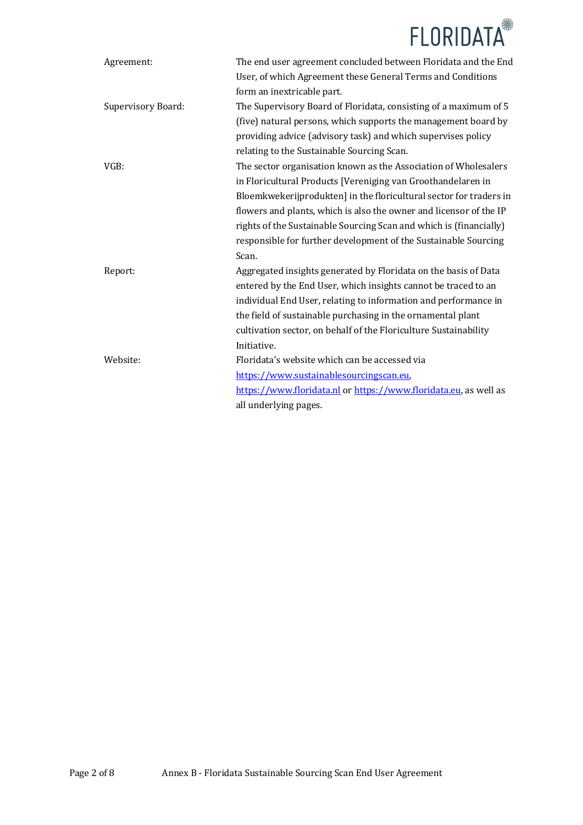

| Agreement:         | The end user agreement concluded between Floridata and the End     |
|--------------------|--------------------------------------------------------------------|
|                    | User, of which Agreement these General Terms and Conditions        |
|                    | form an inextricable part.                                         |
| Supervisory Board: | The Supervisory Board of Floridata, consisting of a maximum of 5   |
|                    | (five) natural persons, which supports the management board by     |
|                    | providing advice (advisory task) and which supervises policy       |
|                    | relating to the Sustainable Sourcing Scan.                         |
| VGB:               | The sector organisation known as the Association of Wholesalers    |
|                    | in Floricultural Products [Vereniging van Groothandelaren in       |
|                    | Bloemkwekerijprodukten] in the floricultural sector for traders in |
|                    | flowers and plants, which is also the owner and licensor of the IP |
|                    | rights of the Sustainable Sourcing Scan and which is (financially) |
|                    | responsible for further development of the Sustainable Sourcing    |
|                    | Scan.                                                              |
| Report:            | Aggregated insights generated by Floridata on the basis of Data    |
|                    | entered by the End User, which insights cannot be traced to an     |
|                    | individual End User, relating to information and performance in    |
|                    | the field of sustainable purchasing in the ornamental plant        |
|                    | cultivation sector, on behalf of the Floriculture Sustainability   |
|                    | Initiative.                                                        |
| Website:           | Floridata's website which can be accessed via                      |
|                    | https://www.sustainablesourcingscan.eu,                            |
|                    | https://www.floridata.nl or https://www.floridata.eu, as well as   |
|                    | all underlying pages.                                              |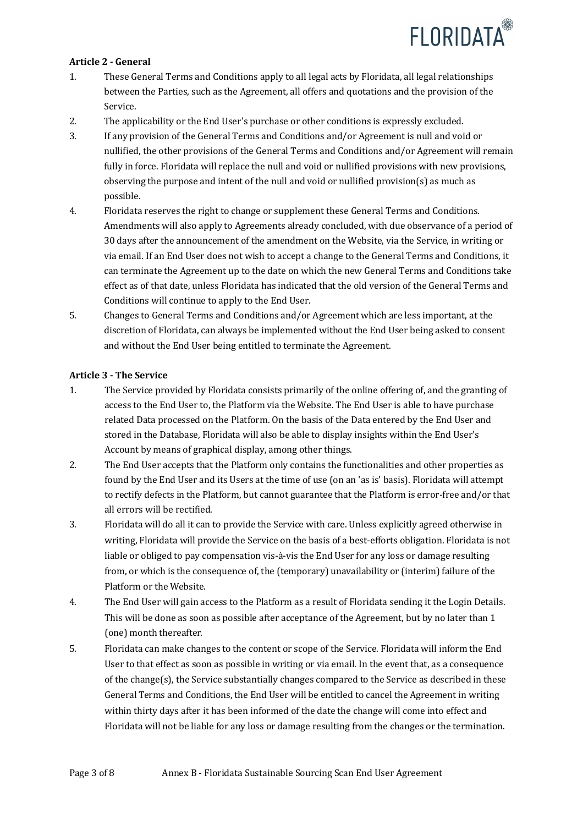

#### **Article 2 - General**

- 1. These General Terms and Conditions apply to all legal acts by Floridata, all legal relationships between the Parties, such as the Agreement, all offers and quotations and the provision of the Service.
- 2. The applicability or the End User's purchase or other conditions is expressly excluded.
- 3. If any provision of the General Terms and Conditions and/or Agreement is null and void or nullified, the other provisions of the General Terms and Conditions and/or Agreement will remain fully in force. Floridata will replace the null and void or nullified provisions with new provisions, observing the purpose and intent of the null and void or nullified provision(s) as much as possible.
- 4. Floridata reserves the right to change or supplement these General Terms and Conditions. Amendments will also apply to Agreements already concluded, with due observance of a period of 30 days after the announcement of the amendment on the Website, via the Service, in writing or via email. If an End User does not wish to accept a change to the General Terms and Conditions, it can terminate the Agreement up to the date on which the new General Terms and Conditions take effect as of that date, unless Floridata has indicated that the old version of the General Terms and Conditions will continue to apply to the End User.
- 5. Changes to General Terms and Conditions and/or Agreement which are less important, at the discretion of Floridata, can always be implemented without the End User being asked to consent and without the End User being entitled to terminate the Agreement.

# **Article 3 - The Service**

- 1. The Service provided by Floridata consists primarily of the online offering of, and the granting of access to the End User to, the Platform via the Website. The End User is able to have purchase related Data processed on the Platform. On the basis of the Data entered by the End User and stored in the Database, Floridata will also be able to display insights within the End User's Account by means of graphical display, among other things.
- 2. The End User accepts that the Platform only contains the functionalities and other properties as found by the End User and its Users at the time of use (on an 'as is' basis). Floridata will attempt to rectify defects in the Platform, but cannot guarantee that the Platform is error-free and/or that all errors will be rectified.
- 3. Floridata will do all it can to provide the Service with care. Unless explicitly agreed otherwise in writing, Floridata will provide the Service on the basis of a best-efforts obligation. Floridata is not liable or obliged to pay compensation vis-à-vis the End User for any loss or damage resulting from, or which is the consequence of, the (temporary) unavailability or (interim) failure of the Platform or the Website.
- 4. The End User will gain access to the Platform as a result of Floridata sending it the Login Details. This will be done as soon as possible after acceptance of the Agreement, but by no later than 1 (one) month thereafter.
- 5. Floridata can make changes to the content or scope of the Service. Floridata will inform the End User to that effect as soon as possible in writing or via email. In the event that, as a consequence of the change(s), the Service substantially changes compared to the Service as described in these General Terms and Conditions, the End User will be entitled to cancel the Agreement in writing within thirty days after it has been informed of the date the change will come into effect and Floridata will not be liable for any loss or damage resulting from the changes or the termination.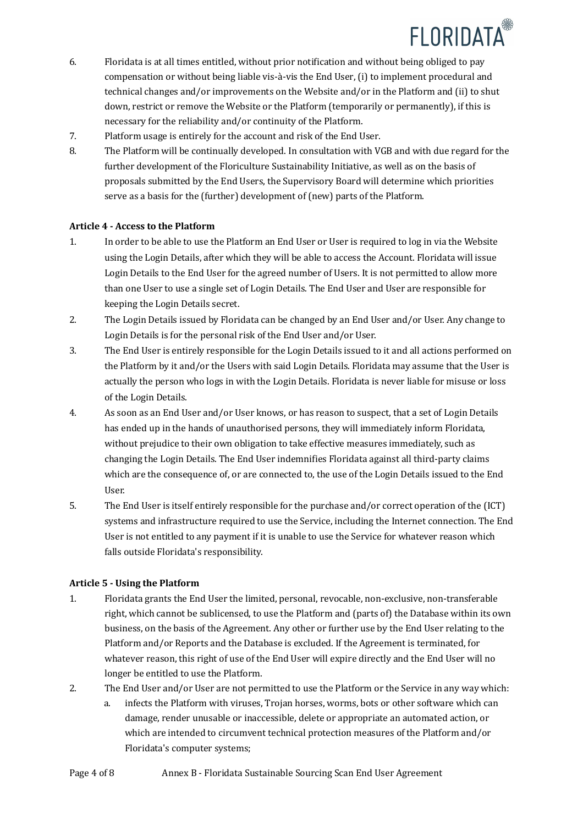

- 6. Floridata is at all times entitled, without prior notification and without being obliged to pay compensation or without being liable vis-à-vis the End User, (i) to implement procedural and technical changes and/or improvements on the Website and/or in the Platform and (ii) to shut down, restrict or remove the Website or the Platform (temporarily or permanently), if this is necessary for the reliability and/or continuity of the Platform.
- 7. Platform usage is entirely for the account and risk of the End User.
- 8. The Platform will be continually developed. In consultation with VGB and with due regard for the further development of the Floriculture Sustainability Initiative, as well as on the basis of proposals submitted by the End Users, the Supervisory Board will determine which priorities serve as a basis for the (further) development of (new) parts of the Platform.

# **Article 4 - Access to the Platform**

- 1. In order to be able to use the Platform an End User or User is required to log in via the Website using the Login Details, after which they will be able to access the Account. Floridata will issue Login Details to the End User for the agreed number of Users. It is not permitted to allow more than one User to use a single set of Login Details. The End User and User are responsible for keeping the Login Details secret.
- 2. The Login Details issued by Floridata can be changed by an End User and/or User. Any change to Login Details is for the personal risk of the End User and/or User.
- 3. The End User is entirely responsible for the Login Details issued to it and all actions performed on the Platform by it and/or the Users with said Login Details. Floridata may assume that the User is actually the person who logs in with the Login Details. Floridata is never liable for misuse or loss of the Login Details.
- 4. As soon as an End User and/or User knows, or has reason to suspect, that a set of Login Details has ended up in the hands of unauthorised persons, they will immediately inform Floridata, without prejudice to their own obligation to take effective measures immediately, such as changing the Login Details. The End User indemnifies Floridata against all third-party claims which are the consequence of, or are connected to, the use of the Login Details issued to the End User.
- 5. The End User is itself entirely responsible for the purchase and/or correct operation of the (ICT) systems and infrastructure required to use the Service, including the Internet connection. The End User is not entitled to any payment if it is unable to use the Service for whatever reason which falls outside Floridata's responsibility.

# **Article 5 - Using the Platform**

- 1. Floridata grants the End User the limited, personal, revocable, non-exclusive, non-transferable right, which cannot be sublicensed, to use the Platform and (parts of) the Database within its own business, on the basis of the Agreement. Any other or further use by the End User relating to the Platform and/or Reports and the Database is excluded. If the Agreement is terminated, for whatever reason, this right of use of the End User will expire directly and the End User will no longer be entitled to use the Platform.
- 2. The End User and/or User are not permitted to use the Platform or the Service in any way which:
	- a. infects the Platform with viruses, Trojan horses, worms, bots or other software which can damage, render unusable or inaccessible, delete or appropriate an automated action, or which are intended to circumvent technical protection measures of the Platform and/or Floridata's computer systems;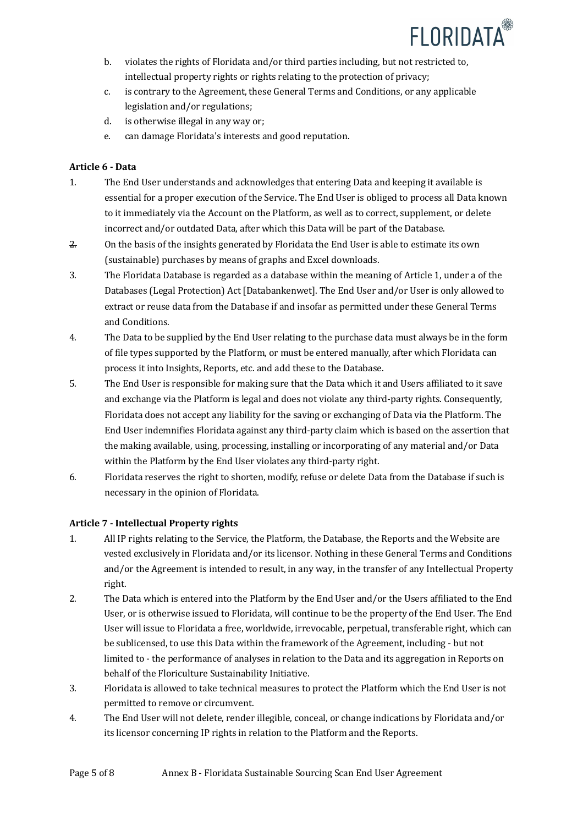

- b. violates the rights of Floridata and/or third parties including, but not restricted to, intellectual property rights or rights relating to the protection of privacy;
- c. is contrary to the Agreement, these General Terms and Conditions, or any applicable legislation and/or regulations;
- d. is otherwise illegal in any way or;
- e. can damage Floridata's interests and good reputation.

# **Article 6 - Data**

- 1. The End User understands and acknowledges that entering Data and keeping it available is essential for a proper execution of the Service. The End User is obliged to process all Data known to it immediately via the Account on the Platform, as well as to correct, supplement, or delete incorrect and/or outdated Data, after which this Data will be part of the Database.
- $2.$  On the basis of the insights generated by Floridata the End User is able to estimate its own (sustainable) purchases by means of graphs and Excel downloads.
- 3. The Floridata Database is regarded as a database within the meaning of Article 1, under a of the Databases (Legal Protection) Act [Databankenwet]. The End User and/or User is only allowed to extract or reuse data from the Database if and insofar as permitted under these General Terms and Conditions.
- 4. The Data to be supplied by the End User relating to the purchase data must always be in the form of file types supported by the Platform, or must be entered manually, after which Floridata can process it into Insights, Reports, etc. and add these to the Database.
- 5. The End User is responsible for making sure that the Data which it and Users affiliated to it save and exchange via the Platform is legal and does not violate any third-party rights. Consequently, Floridata does not accept any liability for the saving or exchanging of Data via the Platform. The End User indemnifies Floridata against any third-party claim which is based on the assertion that the making available, using, processing, installing or incorporating of any material and/or Data within the Platform by the End User violates any third-party right.
- 6. Floridata reserves the right to shorten, modify, refuse or delete Data from the Database if such is necessary in the opinion of Floridata.

# **Article 7 - Intellectual Property rights**

- 1. All IP rights relating to the Service, the Platform, the Database, the Reports and the Website are vested exclusively in Floridata and/or its licensor. Nothing in these General Terms and Conditions and/or the Agreement is intended to result, in any way, in the transfer of any Intellectual Property right.
- 2. The Data which is entered into the Platform by the End User and/or the Users affiliated to the End User, or is otherwise issued to Floridata, will continue to be the property of the End User. The End User will issue to Floridata a free, worldwide, irrevocable, perpetual, transferable right, which can be sublicensed, to use this Data within the framework of the Agreement, including - but not limited to - the performance of analyses in relation to the Data and its aggregation in Reports on behalf of the Floriculture Sustainability Initiative.
- 3. Floridata is allowed to take technical measures to protect the Platform which the End User is not permitted to remove or circumvent.
- 4. The End User will not delete, render illegible, conceal, or change indications by Floridata and/or its licensor concerning IP rights in relation to the Platform and the Reports.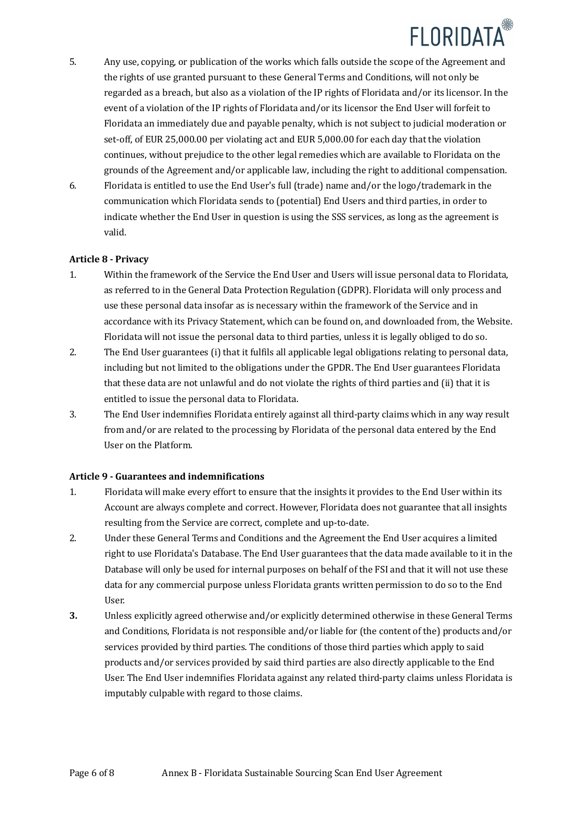

- 5. Any use, copying, or publication of the works which falls outside the scope of the Agreement and the rights of use granted pursuant to these General Terms and Conditions, will not only be regarded as a breach, but also as a violation of the IP rights of Floridata and/or its licensor. In the event of a violation of the IP rights of Floridata and/or its licensor the End User will forfeit to Floridata an immediately due and payable penalty, which is not subject to judicial moderation or set-off, of EUR 25,000.00 per violating act and EUR 5,000.00 for each day that the violation continues, without prejudice to the other legal remedies which are available to Floridata on the grounds of the Agreement and/or applicable law, including the right to additional compensation.
- 6. Floridata is entitled to use the End User's full (trade) name and/or the logo/trademark in the communication which Floridata sends to (potential) End Users and third parties, in order to indicate whether the End User in question is using the SSS services, as long as the agreement is valid.

#### **Article 8 - Privacy**

- 1. Within the framework of the Service the End User and Users will issue personal data to Floridata. as referred to in the General Data Protection Regulation (GDPR). Floridata will only process and use these personal data insofar as is necessary within the framework of the Service and in accordance with its Privacy Statement, which can be found on, and downloaded from, the Website. Floridata will not issue the personal data to third parties, unless it is legally obliged to do so.
- 2. The End User guarantees (i) that it fulfils all applicable legal obligations relating to personal data, including but not limited to the obligations under the GPDR. The End User guarantees Floridata that these data are not unlawful and do not violate the rights of third parties and (ii) that it is entitled to issue the personal data to Floridata.
- 3. The End User indemnifies Floridata entirely against all third-party claims which in any way result from and/or are related to the processing by Floridata of the personal data entered by the End User on the Platform.

#### **Article 9 - Guarantees and indemnifications**

- 1. Floridata will make every effort to ensure that the insights it provides to the End User within its Account are always complete and correct. However, Floridata does not guarantee that all insights resulting from the Service are correct, complete and up-to-date.
- 2. Under these General Terms and Conditions and the Agreement the End User acquires a limited right to use Floridata's Database. The End User guarantees that the data made available to it in the Database will only be used for internal purposes on behalf of the FSI and that it will not use these data for any commercial purpose unless Floridata grants written permission to do so to the End User.
- **3.** Unless explicitly agreed otherwise and/or explicitly determined otherwise in these General Terms and Conditions, Floridata is not responsible and/or liable for (the content of the) products and/or services provided by third parties. The conditions of those third parties which apply to said products and/or services provided by said third parties are also directly applicable to the End User. The End User indemnifies Floridata against any related third-party claims unless Floridata is imputably culpable with regard to those claims.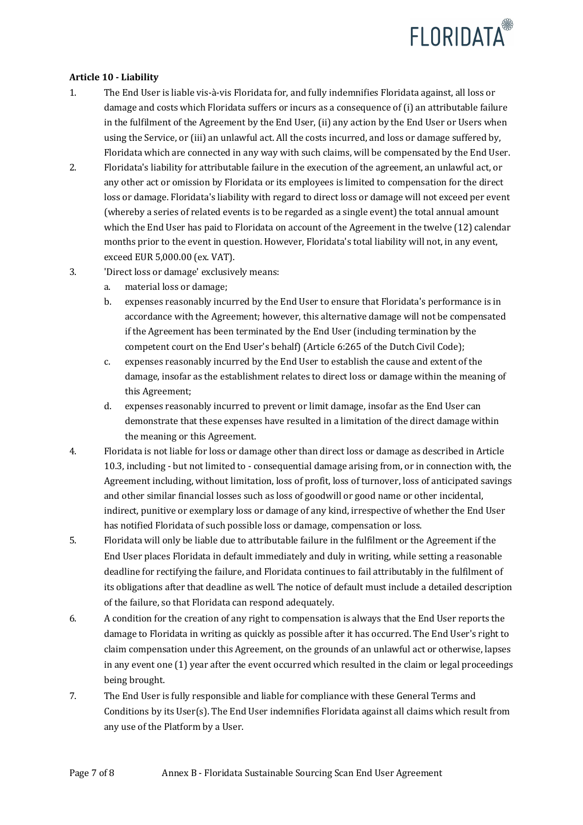

# **Article 10 - Liability**

- 1. The End User is liable vis-à-vis Floridata for, and fully indemnifies Floridata against, all loss or damage and costs which Floridata suffers or incurs as a consequence of (i) an attributable failure in the fulfilment of the Agreement by the End User, (ii) any action by the End User or Users when using the Service, or (iii) an unlawful act. All the costs incurred, and loss or damage suffered by, Floridata which are connected in any way with such claims, will be compensated by the End User.
- 2. Floridata's liability for attributable failure in the execution of the agreement, an unlawful act, or any other act or omission by Floridata or its employees is limited to compensation for the direct loss or damage. Floridata's liability with regard to direct loss or damage will not exceed per event (whereby a series of related events is to be regarded as a single event) the total annual amount which the End User has paid to Floridata on account of the Agreement in the twelve (12) calendar months prior to the event in question. However, Floridata's total liability will not, in any event, exceed EUR 5,000.00 (ex. VAT).
- 3. 'Direct loss or damage' exclusively means:
	- a. material loss or damage;
	- b. expenses reasonably incurred by the End User to ensure that Floridata's performance is in accordance with the Agreement; however, this alternative damage will not be compensated if the Agreement has been terminated by the End User (including termination by the competent court on the End User's behalf) (Article 6:265 of the Dutch Civil Code);
	- c. expenses reasonably incurred by the End User to establish the cause and extent of the damage, insofar as the establishment relates to direct loss or damage within the meaning of this Agreement;
	- d. expenses reasonably incurred to prevent or limit damage, insofar as the End User can demonstrate that these expenses have resulted in a limitation of the direct damage within the meaning or this Agreement.
- 4. Floridata is not liable for loss or damage other than direct loss or damage as described in Article 10.3, including - but not limited to - consequential damage arising from, or in connection with, the Agreement including, without limitation, loss of profit, loss of turnover, loss of anticipated savings and other similar financial losses such as loss of goodwill or good name or other incidental, indirect, punitive or exemplary loss or damage of any kind, irrespective of whether the End User has notified Floridata of such possible loss or damage, compensation or loss.
- 5. Floridata will only be liable due to attributable failure in the fulfilment or the Agreement if the End User places Floridata in default immediately and duly in writing, while setting a reasonable deadline for rectifying the failure, and Floridata continues to fail attributably in the fulfilment of its obligations after that deadline as well. The notice of default must include a detailed description of the failure, so that Floridata can respond adequately.
- 6. A condition for the creation of any right to compensation is always that the End User reports the damage to Floridata in writing as quickly as possible after it has occurred. The End User's right to claim compensation under this Agreement, on the grounds of an unlawful act or otherwise, lapses in any event one  $(1)$  year after the event occurred which resulted in the claim or legal proceedings being brought.
- 7. The End User is fully responsible and liable for compliance with these General Terms and Conditions by its User(s). The End User indemnifies Floridata against all claims which result from any use of the Platform by a User.